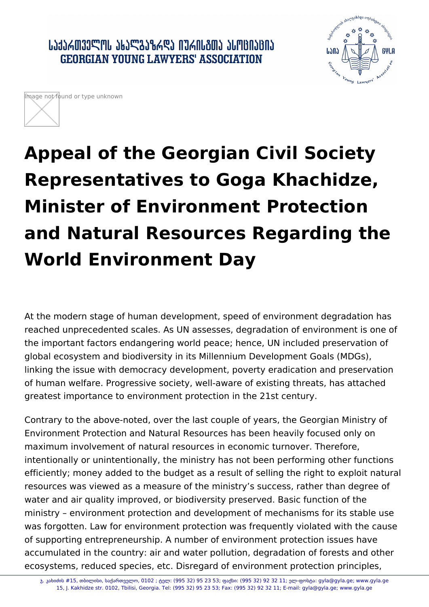



## **Appeal of the Georgian Civil Society Representatives to Goga Khachidze, Minister of Environment Protection and Natural Resources Regarding the World Environment Day**

At the modern stage of human development, speed of environment degradation has reached unprecedented scales. As UN assesses, degradation of environment is one of the important factors endangering world peace; hence, UN included preservation of global ecosystem and biodiversity in its Millennium Development Goals (MDGs), linking the issue with democracy development, poverty eradication and preservation of human welfare. Progressive society, well-aware of existing threats, has attached greatest importance to environment protection in the 21st century.

Contrary to the above-noted, over the last couple of years, the Georgian Ministry of Environment Protection and Natural Resources has been heavily focused only on maximum involvement of natural resources in economic turnover. Therefore, intentionally or unintentionally, the ministry has not been performing other functions efficiently; money added to the budget as a result of selling the right to exploit natural resources was viewed as a measure of the ministry's success, rather than degree of water and air quality improved, or biodiversity preserved. Basic function of the ministry – environment protection and development of mechanisms for its stable use was forgotten. Law for environment protection was frequently violated with the cause of supporting entrepreneurship. A number of environment protection issues have accumulated in the country: air and water pollution, degradation of forests and other ecosystems, reduced species, etc. Disregard of environment protection principles,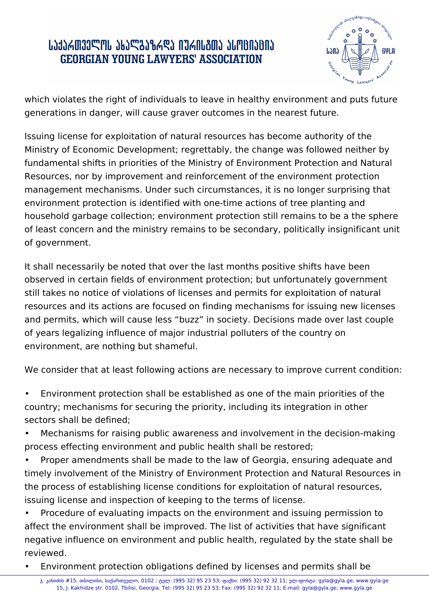## ՐԴԳՐԱՏԱՐԱՐԻ ԳԵՏՐԱՏԻՆ ԳՐԱՐԱՆՈՆ ԱՐԱՆԵՐԻ **GEORGIAN YOUNG LAWYERS' ASSOCIATION**



which violates the right of individuals to leave in healthy environment and puts future generations in danger, will cause graver outcomes in the nearest future.

Issuing license for exploitation of natural resources has become authority of the Ministry of Economic Development; regrettably, the change was followed neither by fundamental shifts in priorities of the Ministry of Environment Protection and Natural Resources, nor by improvement and reinforcement of the environment protection management mechanisms. Under such circumstances, it is no longer surprising that environment protection is identified with one-time actions of tree planting and household garbage collection; environment protection still remains to be a the sphere of least concern and the ministry remains to be secondary, politically insignificant unit of government.

It shall necessarily be noted that over the last months positive shifts have been observed in certain fields of environment protection; but unfortunately government still takes no notice of violations of licenses and permits for exploitation of natural resources and its actions are focused on finding mechanisms for issuing new licenses and permits, which will cause less "buzz" in society. Decisions made over last couple of years legalizing influence of major industrial polluters of the country on environment, are nothing but shameful.

We consider that at least following actions are necessary to improve current condition:

• Environment protection shall be established as one of the main priorities of the country; mechanisms for securing the priority, including its integration in other sectors shall be defined;

Mechanisms for raising public awareness and involvement in the decision-making process effecting environment and public health shall be restored;

Proper amendments shall be made to the law of Georgia, ensuring adequate and timely involvement of the Ministry of Environment Protection and Natural Resources in the process of establishing license conditions for exploitation of natural resources, issuing license and inspection of keeping to the terms of license.

• Procedure of evaluating impacts on the environment and issuing permission to affect the environment shall be improved. The list of activities that have significant negative influence on environment and public health, regulated by the state shall be reviewed.

• Environment protection obligations defined by licenses and permits shall be